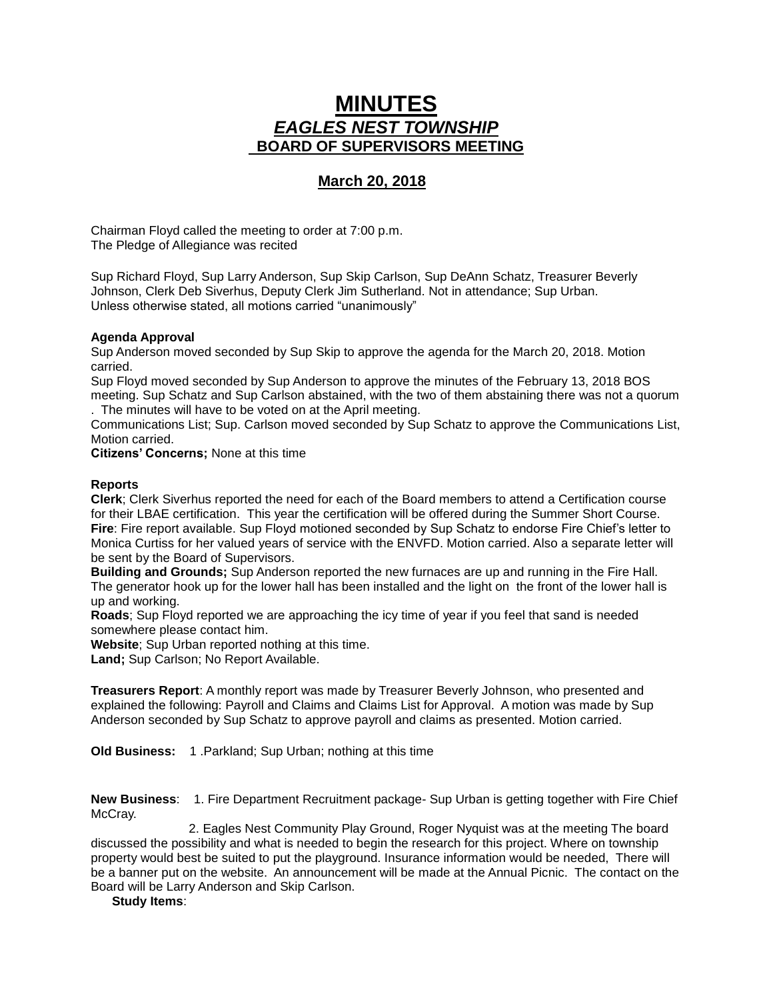## **MINUTES** *EAGLES NEST TOWNSHIP*  **BOARD OF SUPERVISORS MEETING**

## **March 20, 2018**

Chairman Floyd called the meeting to order at 7:00 p.m. The Pledge of Allegiance was recited

Sup Richard Floyd, Sup Larry Anderson, Sup Skip Carlson, Sup DeAnn Schatz, Treasurer Beverly Johnson, Clerk Deb Siverhus, Deputy Clerk Jim Sutherland. Not in attendance; Sup Urban. Unless otherwise stated, all motions carried "unanimously"

## **Agenda Approval**

Sup Anderson moved seconded by Sup Skip to approve the agenda for the March 20, 2018. Motion carried.

Sup Floyd moved seconded by Sup Anderson to approve the minutes of the February 13, 2018 BOS meeting. Sup Schatz and Sup Carlson abstained, with the two of them abstaining there was not a quorum

. The minutes will have to be voted on at the April meeting.

Communications List; Sup. Carlson moved seconded by Sup Schatz to approve the Communications List, Motion carried.

**Citizens' Concerns;** None at this time

## **Reports**

**Clerk**; Clerk Siverhus reported the need for each of the Board members to attend a Certification course for their LBAE certification. This year the certification will be offered during the Summer Short Course. **Fire**: Fire report available. Sup Floyd motioned seconded by Sup Schatz to endorse Fire Chief's letter to Monica Curtiss for her valued years of service with the ENVFD. Motion carried. Also a separate letter will be sent by the Board of Supervisors.

**Building and Grounds;** Sup Anderson reported the new furnaces are up and running in the Fire Hall. The generator hook up for the lower hall has been installed and the light on the front of the lower hall is up and working.

**Roads**; Sup Floyd reported we are approaching the icy time of year if you feel that sand is needed somewhere please contact him.

**Website**; Sup Urban reported nothing at this time.

**Land;** Sup Carlson; No Report Available.

**Treasurers Report**: A monthly report was made by Treasurer Beverly Johnson, who presented and explained the following: Payroll and Claims and Claims List for Approval. A motion was made by Sup Anderson seconded by Sup Schatz to approve payroll and claims as presented. Motion carried.

**Old Business:** 1 .Parkland; Sup Urban; nothing at this time

**New Business**: 1. Fire Department Recruitment package- Sup Urban is getting together with Fire Chief McCray.

2. Eagles Nest Community Play Ground, Roger Nyquist was at the meeting The board discussed the possibility and what is needed to begin the research for this project. Where on township property would best be suited to put the playground. Insurance information would be needed, There will be a banner put on the website. An announcement will be made at the Annual Picnic. The contact on the Board will be Larry Anderson and Skip Carlson.

**Study Items**: